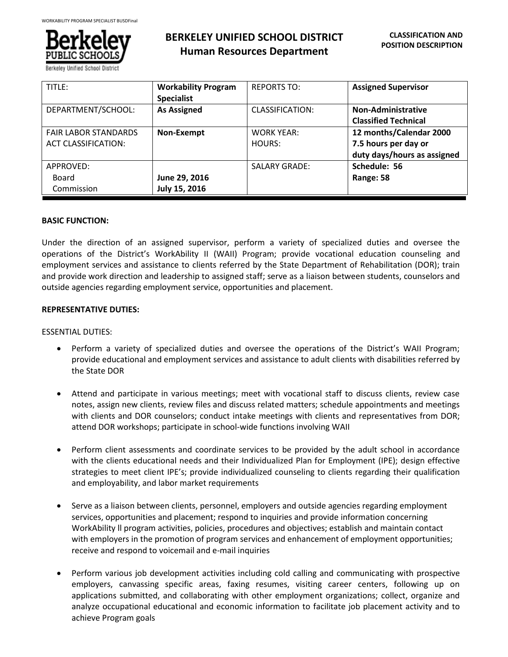

| TITLE:                                                    | <b>Workability Program</b><br><b>Specialist</b> | <b>REPORTS TO:</b>          | <b>Assigned Supervisor</b>                                                     |
|-----------------------------------------------------------|-------------------------------------------------|-----------------------------|--------------------------------------------------------------------------------|
| DEPARTMENT/SCHOOL:                                        | <b>As Assigned</b>                              | CLASSIFICATION:             | Non-Administrative<br><b>Classified Technical</b>                              |
| <b>FAIR LABOR STANDARDS</b><br><b>ACT CLASSIFICATION:</b> | Non-Exempt                                      | <b>WORK YEAR:</b><br>HOURS: | 12 months/Calendar 2000<br>7.5 hours per day or<br>duty days/hours as assigned |
| APPROVED:<br>Board<br>Commission                          | June 29, 2016<br>July 15, 2016                  | <b>SALARY GRADE:</b>        | Schedule: 56<br>Range: 58                                                      |

### **BASIC FUNCTION:**

Under the direction of an assigned supervisor, perform a variety of specialized duties and oversee the operations of the District's WorkAbility II (WAII) Program; provide vocational education counseling and employment services and assistance to clients referred by the State Department of Rehabilitation (DOR); train and provide work direction and leadership to assigned staff; serve as a liaison between students, counselors and outside agencies regarding employment service, opportunities and placement.

## **REPRESENTATIVE DUTIES:**

ESSENTIAL DUTIES:

- Perform a variety of specialized duties and oversee the operations of the District's WAII Program; provide educational and employment services and assistance to adult clients with disabilities referred by the State DOR
- Attend and participate in various meetings; meet with vocational staff to discuss clients, review case notes, assign new clients, review files and discuss related matters; schedule appointments and meetings with clients and DOR counselors; conduct intake meetings with clients and representatives from DOR; attend DOR workshops; participate in school-wide functions involving WAII
- Perform client assessments and coordinate services to be provided by the adult school in accordance with the clients educational needs and their Individualized Plan for Employment (IPE); design effective strategies to meet client IPE's; provide individualized counseling to clients regarding their qualification and employability, and labor market requirements
- Serve as a liaison between clients, personnel, employers and outside agencies regarding employment services, opportunities and placement; respond to inquiries and provide information concerning WorkAbility ll program activities, policies, procedures and objectives; establish and maintain contact with employers in the promotion of program services and enhancement of employment opportunities; receive and respond to voicemail and e-mail inquiries
- Perform various job development activities including cold calling and communicating with prospective employers, canvassing specific areas, faxing resumes, visiting career centers, following up on applications submitted, and collaborating with other employment organizations; collect, organize and analyze occupational educational and economic information to facilitate job placement activity and to achieve Program goals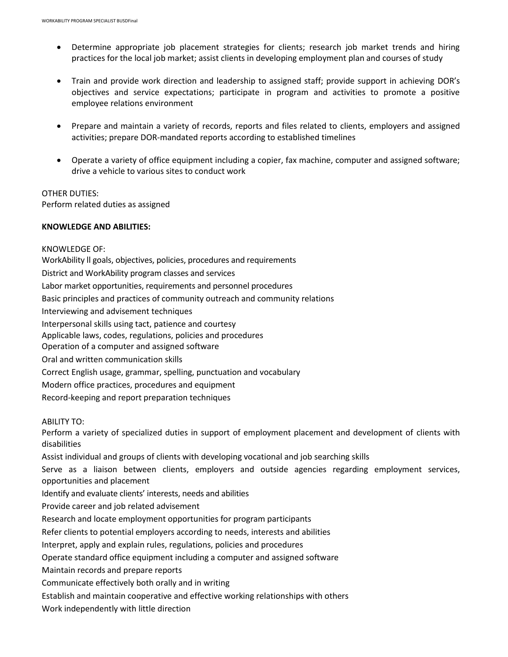- Determine appropriate job placement strategies for clients; research job market trends and hiring practices for the local job market; assist clients in developing employment plan and courses of study
- Train and provide work direction and leadership to assigned staff; provide support in achieving DOR's objectives and service expectations; participate in program and activities to promote a positive employee relations environment
- Prepare and maintain a variety of records, reports and files related to clients, employers and assigned activities; prepare DOR-mandated reports according to established timelines
- Operate a variety of office equipment including a copier, fax machine, computer and assigned software; drive a vehicle to various sites to conduct work

# OTHER DUTIES:

Perform related duties as assigned

# **KNOWLEDGE AND ABILITIES:**

KNOWLEDGE OF: WorkAbility ll goals, objectives, policies, procedures and requirements District and WorkAbility program classes and services Labor market opportunities, requirements and personnel procedures Basic principles and practices of community outreach and community relations Interviewing and advisement techniques Interpersonal skills using tact, patience and courtesy Applicable laws, codes, regulations, policies and procedures Operation of a computer and assigned software Oral and written communication skills Correct English usage, grammar, spelling, punctuation and vocabulary Modern office practices, procedures and equipment Record-keeping and report preparation techniques

ABILITY TO:

Perform a variety of specialized duties in support of employment placement and development of clients with disabilities

Assist individual and groups of clients with developing vocational and job searching skills

Serve as a liaison between clients, employers and outside agencies regarding employment services, opportunities and placement

Identify and evaluate clients' interests, needs and abilities

Provide career and job related advisement

Research and locate employment opportunities for program participants

Refer clients to potential employers according to needs, interests and abilities

Interpret, apply and explain rules, regulations, policies and procedures

Operate standard office equipment including a computer and assigned software

Maintain records and prepare reports

Communicate effectively both orally and in writing

Establish and maintain cooperative and effective working relationships with others

Work independently with little direction